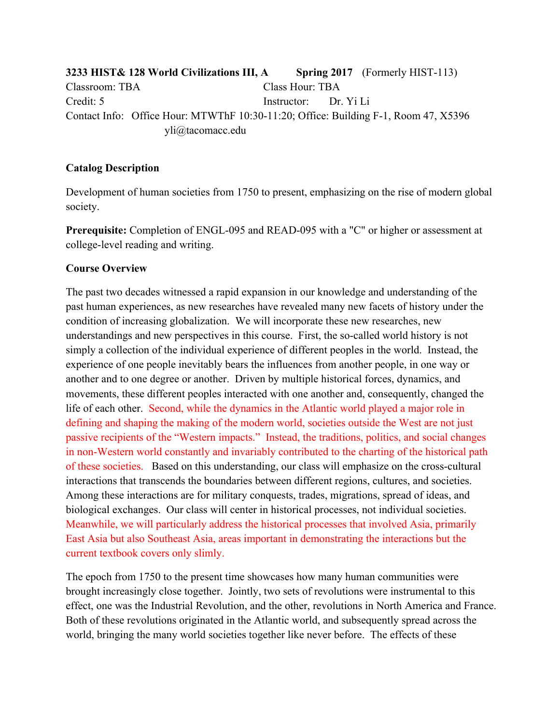**3233 HIST& 128 World Civilizations III, A Spring 2017** (Formerly HIST-113) Classroom: TBA Class Hour: TBA Credit: 5 Instructor: Dr. Yi Li Contact Info: Office Hour: MTWThF 10:30-11:20; Office: Building F-1, Room 47, X5396 yli@tacomacc.edu

#### **Catalog Description**

Development of human societies from 1750 to present, emphasizing on the rise of modern global society.

**Prerequisite:** Completion of ENGL-095 and READ-095 with a "C" or higher or assessment at college-level reading and writing.

#### **Course Overview**

The past two decades witnessed a rapid expansion in our knowledge and understanding of the past human experiences, as new researches have revealed many new facets of history under the condition of increasing globalization. We will incorporate these new researches, new understandings and new perspectives in this course. First, the so-called world history is not simply a collection of the individual experience of different peoples in the world. Instead, the experience of one people inevitably bears the influences from another people, in one way or another and to one degree or another. Driven by multiple historical forces, dynamics, and movements, these different peoples interacted with one another and, consequently, changed the life of each other. Second, while the dynamics in the Atlantic world played a major role in defining and shaping the making of the modern world, societies outside the West are not just passive recipients of the "Western impacts." Instead, the traditions, politics, and social changes in non-Western world constantly and invariably contributed to the charting of the historical path of these societies. Based on this understanding, our class will emphasize on the cross-cultural interactions that transcends the boundaries between different regions, cultures, and societies. Among these interactions are for military conquests, trades, migrations, spread of ideas, and biological exchanges. Our class will center in historical processes, not individual societies. Meanwhile, we will particularly address the historical processes that involved Asia, primarily East Asia but also Southeast Asia, areas important in demonstrating the interactions but the current textbook covers only slimly.

The epoch from 1750 to the present time showcases how many human communities were brought increasingly close together. Jointly, two sets of revolutions were instrumental to this effect, one was the Industrial Revolution, and the other, revolutions in North America and France. Both of these revolutions originated in the Atlantic world, and subsequently spread across the world, bringing the many world societies together like never before. The effects of these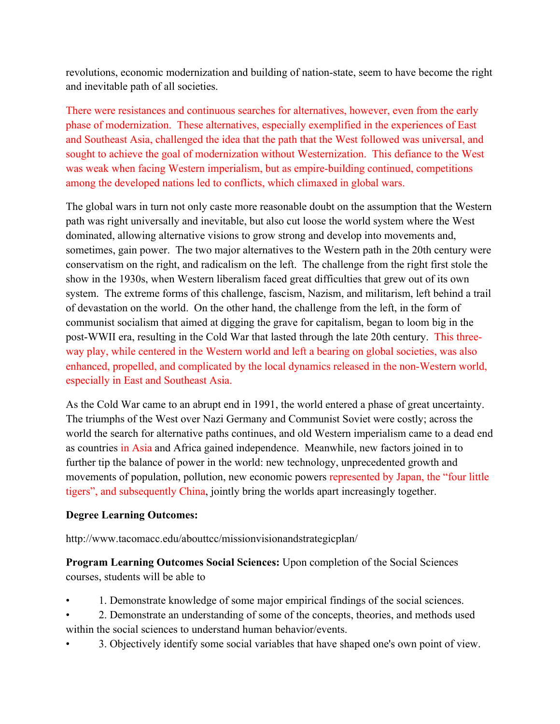revolutions, economic modernization and building of nation-state, seem to have become the right and inevitable path of all societies.

There were resistances and continuous searches for alternatives, however, even from the early phase of modernization. These alternatives, especially exemplified in the experiences of East and Southeast Asia, challenged the idea that the path that the West followed was universal, and sought to achieve the goal of modernization without Westernization. This defiance to the West was weak when facing Western imperialism, but as empire-building continued, competitions among the developed nations led to conflicts, which climaxed in global wars.

The global wars in turn not only caste more reasonable doubt on the assumption that the Western path was right universally and inevitable, but also cut loose the world system where the West dominated, allowing alternative visions to grow strong and develop into movements and, sometimes, gain power. The two major alternatives to the Western path in the 20th century were conservatism on the right, and radicalism on the left. The challenge from the right first stole the show in the 1930s, when Western liberalism faced great difficulties that grew out of its own system. The extreme forms of this challenge, fascism, Nazism, and militarism, left behind a trail of devastation on the world. On the other hand, the challenge from the left, in the form of communist socialism that aimed at digging the grave for capitalism, began to loom big in the post-WWII era, resulting in the Cold War that lasted through the late 20th century. This threeway play, while centered in the Western world and left a bearing on global societies, was also enhanced, propelled, and complicated by the local dynamics released in the non-Western world, especially in East and Southeast Asia.

As the Cold War came to an abrupt end in 1991, the world entered a phase of great uncertainty. The triumphs of the West over Nazi Germany and Communist Soviet were costly; across the world the search for alternative paths continues, and old Western imperialism came to a dead end as countries in Asia and Africa gained independence. Meanwhile, new factors joined in to further tip the balance of power in the world: new technology, unprecedented growth and movements of population, pollution, new economic powers represented by Japan, the "four little tigers", and subsequently China, jointly bring the worlds apart increasingly together.

### **Degree Learning Outcomes:**

http://www.tacomacc.edu/abouttcc/missionvisionandstrategicplan/

**Program Learning Outcomes Social Sciences:** Upon completion of the Social Sciences courses, students will be able to

- 1. Demonstrate knowledge of some major empirical findings of the social sciences.
- 2. Demonstrate an understanding of some of the concepts, theories, and methods used within the social sciences to understand human behavior/events.
- 3. Objectively identify some social variables that have shaped one's own point of view.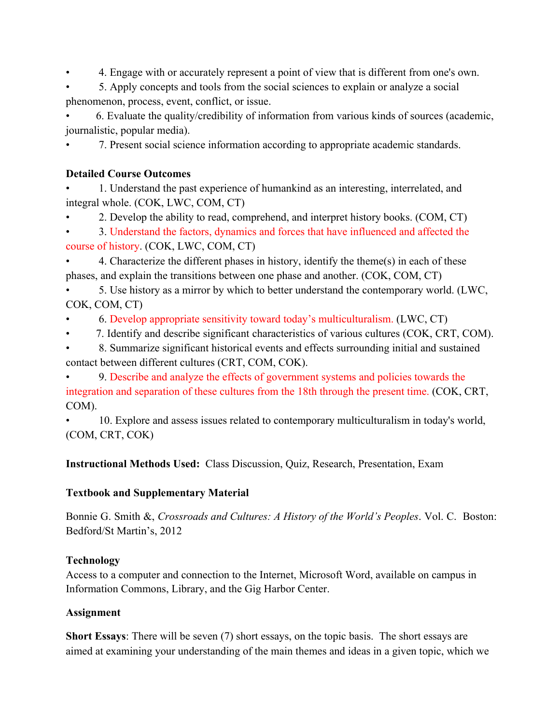• 4. Engage with or accurately represent a point of view that is different from one's own.

• 5. Apply concepts and tools from the social sciences to explain or analyze a social phenomenon, process, event, conflict, or issue.

• 6. Evaluate the quality/credibility of information from various kinds of sources (academic, journalistic, popular media).

• 7. Present social science information according to appropriate academic standards.

# **Detailed Course Outcomes**

• 1. Understand the past experience of humankind as an interesting, interrelated, and integral whole. (COK, LWC, COM, CT)

• 2. Develop the ability to read, comprehend, and interpret history books. (COM, CT)

• 3. Understand the factors, dynamics and forces that have influenced and affected the course of history. (COK, LWC, COM, CT)

• 4. Characterize the different phases in history, identify the theme(s) in each of these phases, and explain the transitions between one phase and another. (COK, COM, CT)

• 5. Use history as a mirror by which to better understand the contemporary world. (LWC, COK, COM, CT)

• 6. Develop appropriate sensitivity toward today's multiculturalism. (LWC, CT)

• 7. Identify and describe significant characteristics of various cultures (COK, CRT, COM).

• 8. Summarize significant historical events and effects surrounding initial and sustained contact between different cultures (CRT, COM, COK).

• 9. Describe and analyze the effects of government systems and policies towards the integration and separation of these cultures from the 18th through the present time. (COK, CRT, COM).

• 10. Explore and assess issues related to contemporary multiculturalism in today's world, (COM, CRT, COK)

**Instructional Methods Used:** Class Discussion, Quiz, Research, Presentation, Exam

# **Textbook and Supplementary Material**

Bonnie G. Smith &, *Crossroads and Cultures: A History of the World's Peoples*. Vol. C. Boston: Bedford/St Martin's, 2012

# **Technology**

Access to a computer and connection to the Internet, Microsoft Word, available on campus in Information Commons, Library, and the Gig Harbor Center.

# **Assignment**

**Short Essays**: There will be seven (7) short essays, on the topic basis. The short essays are aimed at examining your understanding of the main themes and ideas in a given topic, which we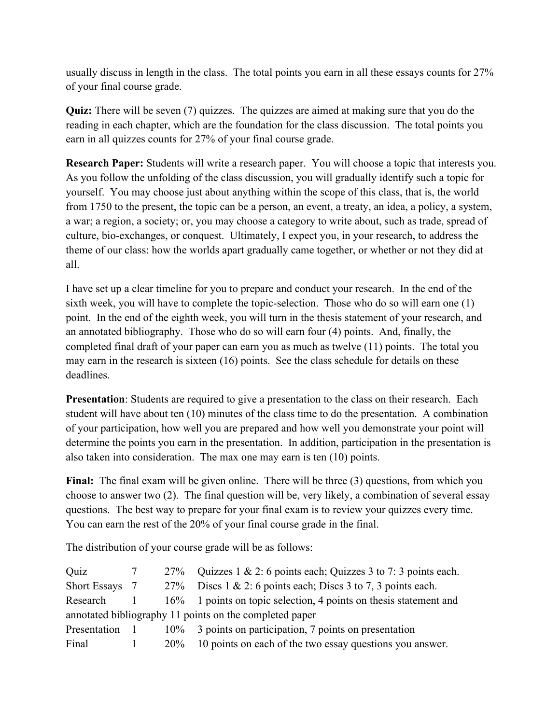usually discuss in length in the class. The total points you earn in all these essays counts for 27% of your final course grade.

**Quiz:** There will be seven (7) quizzes. The quizzes are aimed at making sure that you do the reading in each chapter, which are the foundation for the class discussion. The total points you earn in all quizzes counts for 27% of your final course grade.

**Research Paper:** Students will write a research paper. You will choose a topic that interests you. As you follow the unfolding of the class discussion, you will gradually identify such a topic for yourself. You may choose just about anything within the scope of this class, that is, the world from 1750 to the present, the topic can be a person, an event, a treaty, an idea, a policy, a system, a war; a region, a society; or, you may choose a category to write about, such as trade, spread of culture, bio-exchanges, or conquest. Ultimately, I expect you, in your research, to address the theme of our class: how the worlds apart gradually came together, or whether or not they did at all.

I have set up a clear timeline for you to prepare and conduct your research. In the end of the sixth week, you will have to complete the topic-selection. Those who do so will earn one (1) point. In the end of the eighth week, you will turn in the thesis statement of your research, and an annotated bibliography. Those who do so will earn four (4) points. And, finally, the completed final draft of your paper can earn you as much as twelve (11) points. The total you may earn in the research is sixteen (16) points. See the class schedule for details on these deadlines.

**Presentation**: Students are required to give a presentation to the class on their research. Each student will have about ten (10) minutes of the class time to do the presentation. A combination of your participation, how well you are prepared and how well you demonstrate your point will determine the points you earn in the presentation. In addition, participation in the presentation is also taken into consideration. The max one may earn is ten (10) points.

Final: The final exam will be given online. There will be three (3) questions, from which you choose to answer two (2). The final question will be, very likely, a combination of several essay questions. The best way to prepare for your final exam is to review your quizzes every time. You can earn the rest of the 20% of your final course grade in the final.

The distribution of your course grade will be as follows:

| Quiz                                                    |  | 27%    | Quizzes $1 \& 2$ : 6 points each; Quizzes $3$ to $7: 3$ points each. |  |  |
|---------------------------------------------------------|--|--------|----------------------------------------------------------------------|--|--|
| <b>Short Essays</b>                                     |  | 27%    | Discs $1 \& 2$ : 6 points each; Discs 3 to 7, 3 points each.         |  |  |
| Research                                                |  | $16\%$ | 1 points on topic selection, 4 points on thesis statement and        |  |  |
| annotated bibliography 11 points on the completed paper |  |        |                                                                      |  |  |
| Presentation                                            |  | $10\%$ | 3 points on participation, 7 points on presentation                  |  |  |
| Final                                                   |  | $20\%$ | 10 points on each of the two essay questions you answer.             |  |  |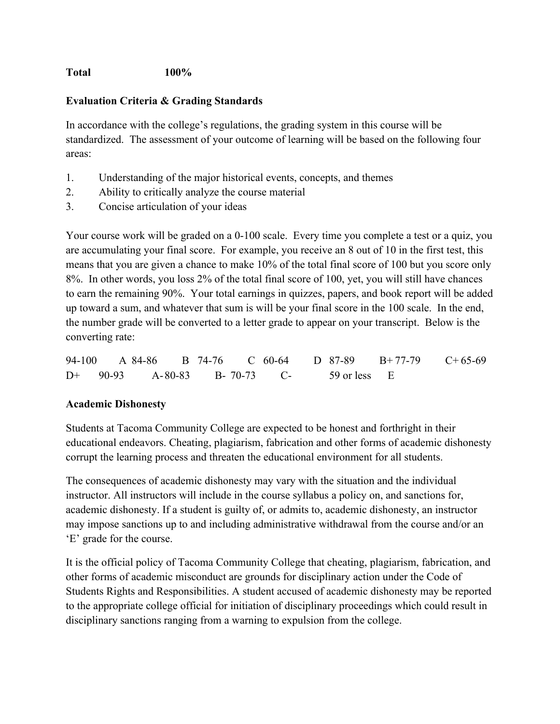### **Total 100%**

### **Evaluation Criteria & Grading Standards**

In accordance with the college's regulations, the grading system in this course will be standardized. The assessment of your outcome of learning will be based on the following four areas:

- 1. Understanding of the major historical events, concepts, and themes
- 2. Ability to critically analyze the course material
- 3. Concise articulation of your ideas

Your course work will be graded on a 0-100 scale. Every time you complete a test or a quiz, you are accumulating your final score. For example, you receive an 8 out of 10 in the first test, this means that you are given a chance to make 10% of the total final score of 100 but you score only 8%. In other words, you loss 2% of the total final score of 100, yet, you will still have chances to earn the remaining 90%. Your total earnings in quizzes, papers, and book report will be added up toward a sum, and whatever that sum is will be your final score in the 100 scale. In the end, the number grade will be converted to a letter grade to appear on your transcript. Below is the converting rate:

94-100 A 84-86 B 74-76 C 60-64 D 87-89 B+ 77-79 C+ 65-69 D+ 90-93 A-80-83 B- 70-73 C- 59 or less E

### **Academic Dishonesty**

Students at Tacoma Community College are expected to be honest and forthright in their educational endeavors. Cheating, plagiarism, fabrication and other forms of academic dishonesty corrupt the learning process and threaten the educational environment for all students.

The consequences of academic dishonesty may vary with the situation and the individual instructor. All instructors will include in the course syllabus a policy on, and sanctions for, academic dishonesty. If a student is guilty of, or admits to, academic dishonesty, an instructor may impose sanctions up to and including administrative withdrawal from the course and/or an 'E' grade for the course.

It is the official policy of Tacoma Community College that cheating, plagiarism, fabrication, and other forms of academic misconduct are grounds for disciplinary action under the Code of Students Rights and Responsibilities. A student accused of academic dishonesty may be reported to the appropriate college official for initiation of disciplinary proceedings which could result in disciplinary sanctions ranging from a warning to expulsion from the college.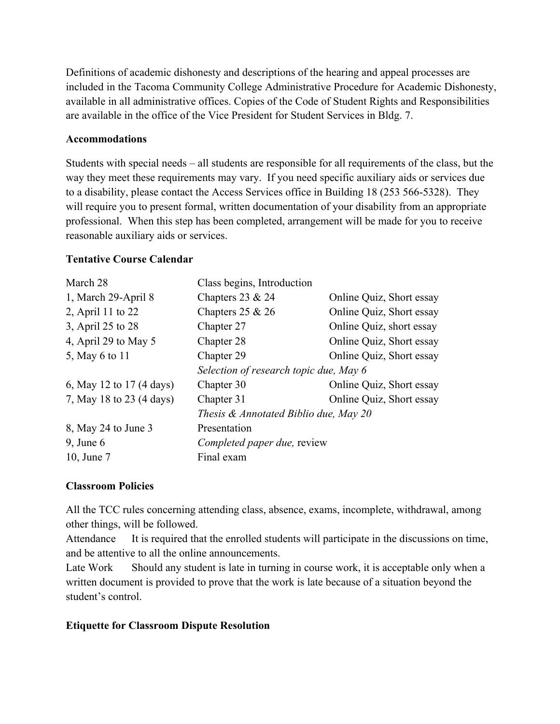Definitions of academic dishonesty and descriptions of the hearing and appeal processes are included in the Tacoma Community College Administrative Procedure for Academic Dishonesty, available in all administrative offices. Copies of the Code of Student Rights and Responsibilities are available in the office of the Vice President for Student Services in Bldg. 7.

#### **Accommodations**

Students with special needs – all students are responsible for all requirements of the class, but the way they meet these requirements may vary. If you need specific auxiliary aids or services due to a disability, please contact the Access Services office in Building 18 (253 566-5328). They will require you to present formal, written documentation of your disability from an appropriate professional. When this step has been completed, arrangement will be made for you to receive reasonable auxiliary aids or services.

### **Tentative Course Calendar**

| March 28                 | Class begins, Introduction             |                          |  |
|--------------------------|----------------------------------------|--------------------------|--|
| 1, March 29-April 8      | Chapters $23 & 24$                     | Online Quiz, Short essay |  |
| 2, April 11 to 22        | Chapters $25 & 26$                     | Online Quiz, Short essay |  |
| 3, April 25 to 28        | Chapter 27                             | Online Quiz, short essay |  |
| 4, April 29 to May 5     | Chapter 28                             | Online Quiz, Short essay |  |
| 5, May 6 to 11           | Chapter 29                             | Online Quiz, Short essay |  |
|                          | Selection of research topic due, May 6 |                          |  |
| 6, May 12 to 17 (4 days) | Chapter 30                             | Online Quiz, Short essay |  |
| 7, May 18 to 23 (4 days) | Chapter 31                             | Online Quiz, Short essay |  |
|                          | Thesis & Annotated Biblio due, May 20  |                          |  |
| 8, May 24 to June 3      | Presentation                           |                          |  |
| $9$ , June 6             | Completed paper due, review            |                          |  |
| 10, June 7               | Final exam                             |                          |  |

# **Classroom Policies**

All the TCC rules concerning attending class, absence, exams, incomplete, withdrawal, among other things, will be followed.

Attendance It is required that the enrolled students will participate in the discussions on time, and be attentive to all the online announcements.

Late Work Should any student is late in turning in course work, it is acceptable only when a written document is provided to prove that the work is late because of a situation beyond the student's control.

### **Etiquette for Classroom Dispute Resolution**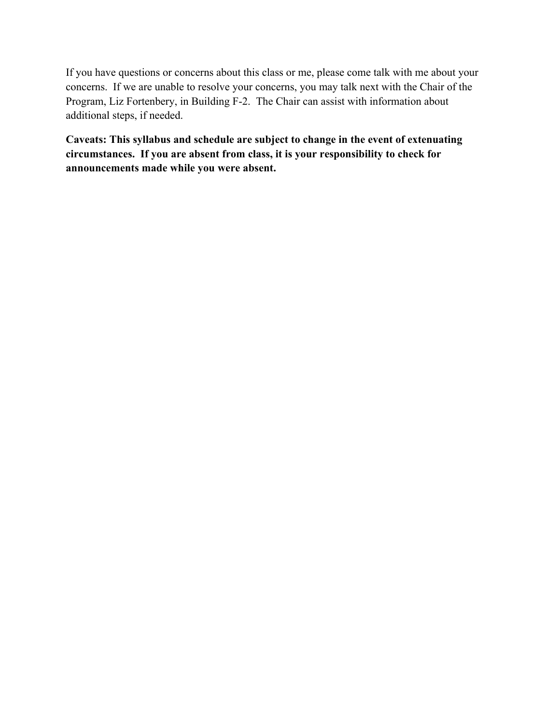If you have questions or concerns about this class or me, please come talk with me about your concerns. If we are unable to resolve your concerns, you may talk next with the Chair of the Program, Liz Fortenbery, in Building F-2. The Chair can assist with information about additional steps, if needed.

**Caveats: This syllabus and schedule are subject to change in the event of extenuating circumstances. If you are absent from class, it is your responsibility to check for announcements made while you were absent.**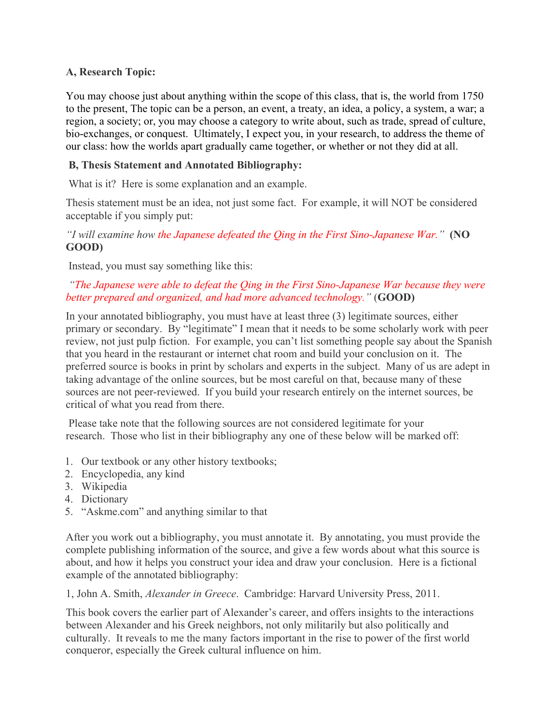### **A, Research Topic:**

You may choose just about anything within the scope of this class, that is, the world from 1750 to the present, The topic can be a person, an event, a treaty, an idea, a policy, a system, a war; a region, a society; or, you may choose a category to write about, such as trade, spread of culture, bio-exchanges, or conquest. Ultimately, I expect you, in your research, to address the theme of our class: how the worlds apart gradually came together, or whether or not they did at all.

### **B, Thesis Statement and Annotated Bibliography:**

What is it? Here is some explanation and an example.

Thesis statement must be an idea, not just some fact. For example, it will NOT be considered acceptable if you simply put:

*"I will examine how the Japanese defeated the Qing in the First Sino-Japanese War."* **(NO GOOD)**

Instead, you must say something like this:

### *"The Japanese were able to defeat the Qing in the First Sino-Japanese War because they were better prepared and organized, and had more advanced technology."* (**GOOD)**

In your annotated bibliography, you must have at least three (3) legitimate sources, either primary or secondary. By "legitimate" I mean that it needs to be some scholarly work with peer review, not just pulp fiction. For example, you can't list something people say about the Spanish that you heard in the restaurant or internet chat room and build your conclusion on it. The preferred source is books in print by scholars and experts in the subject. Many of us are adept in taking advantage of the online sources, but be most careful on that, because many of these sources are not peer-reviewed. If you build your research entirely on the internet sources, be critical of what you read from there.

Please take note that the following sources are not considered legitimate for your research. Those who list in their bibliography any one of these below will be marked off:

- 1. Our textbook or any other history textbooks;
- 2. Encyclopedia, any kind
- 3. Wikipedia
- 4. Dictionary
- 5. "Askme.com" and anything similar to that

After you work out a bibliography, you must annotate it. By annotating, you must provide the complete publishing information of the source, and give a few words about what this source is about, and how it helps you construct your idea and draw your conclusion. Here is a fictional example of the annotated bibliography:

1, John A. Smith, *Alexander in Greece*. Cambridge: Harvard University Press, 2011.

This book covers the earlier part of Alexander's career, and offers insights to the interactions between Alexander and his Greek neighbors, not only militarily but also politically and culturally. It reveals to me the many factors important in the rise to power of the first world conqueror, especially the Greek cultural influence on him.